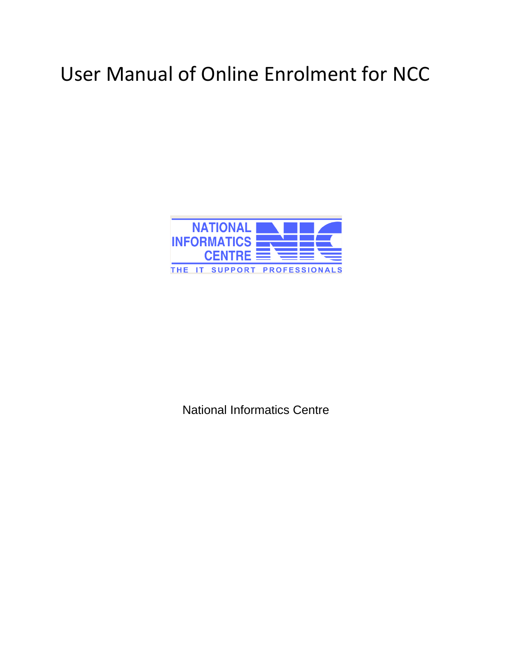# User Manual of Online Enrolment for NCC



National Informatics Centre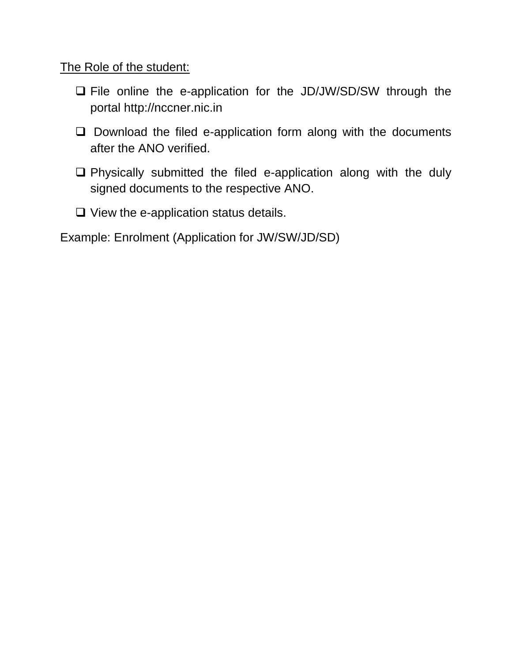The Role of the student:

- □ File online the e-application for the JD/JW/SD/SW through the portal http://nccner.nic.in
- $\square$  Download the filed e-application form along with the documents after the ANO verified.
- Physically submitted the filed e-application along with the duly signed documents to the respective ANO.
- $\Box$  View the e-application status details.

Example: Enrolment (Application for JW/SW/JD/SD)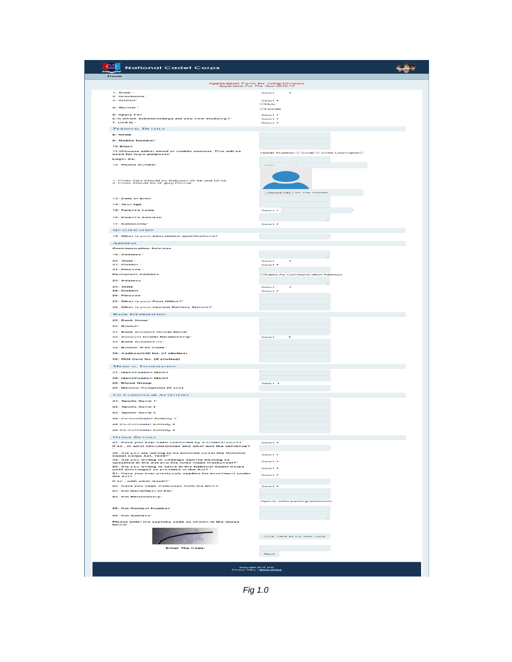| Home<br>Application Form for Wing/Division<br>Application For The Year-2016-17<br>1: State *<br>2: Directorate'<br>3: District*<br>4: Gender<br><b>6: Apply For</b><br>6.In which School/college are you now studying?"<br>7. Unit is :<br>PERSONAL DETAILS<br>8: Name<br>9: Mobile Number*<br>10:Email<br>11:(Choose either email or mobile number. This will be<br>used for login purpose)*<br><b>Login As:</b><br>12: Phone Number<br>1. Photo Size Should Be Between 25 kb and 50 kb<br>2. Photo Should Be of .jpeg Format.<br>13: Date of Birth*<br>14: Your age<br>15: Parent's name | Select<br>٠<br>Select <b>v</b><br><b>Male</b><br><b>OFemale</b><br>Select *<br>Select *<br>Select *<br>Mobile Number C Email C Enter UsernameO<br>code<br>Choose File   No file chosen |
|--------------------------------------------------------------------------------------------------------------------------------------------------------------------------------------------------------------------------------------------------------------------------------------------------------------------------------------------------------------------------------------------------------------------------------------------------------------------------------------------------------------------------------------------------------------------------------------------|----------------------------------------------------------------------------------------------------------------------------------------------------------------------------------------|
|                                                                                                                                                                                                                                                                                                                                                                                                                                                                                                                                                                                            |                                                                                                                                                                                        |
|                                                                                                                                                                                                                                                                                                                                                                                                                                                                                                                                                                                            |                                                                                                                                                                                        |
|                                                                                                                                                                                                                                                                                                                                                                                                                                                                                                                                                                                            |                                                                                                                                                                                        |
|                                                                                                                                                                                                                                                                                                                                                                                                                                                                                                                                                                                            |                                                                                                                                                                                        |
|                                                                                                                                                                                                                                                                                                                                                                                                                                                                                                                                                                                            |                                                                                                                                                                                        |
|                                                                                                                                                                                                                                                                                                                                                                                                                                                                                                                                                                                            |                                                                                                                                                                                        |
|                                                                                                                                                                                                                                                                                                                                                                                                                                                                                                                                                                                            |                                                                                                                                                                                        |
|                                                                                                                                                                                                                                                                                                                                                                                                                                                                                                                                                                                            |                                                                                                                                                                                        |
|                                                                                                                                                                                                                                                                                                                                                                                                                                                                                                                                                                                            |                                                                                                                                                                                        |
|                                                                                                                                                                                                                                                                                                                                                                                                                                                                                                                                                                                            |                                                                                                                                                                                        |
|                                                                                                                                                                                                                                                                                                                                                                                                                                                                                                                                                                                            |                                                                                                                                                                                        |
|                                                                                                                                                                                                                                                                                                                                                                                                                                                                                                                                                                                            |                                                                                                                                                                                        |
|                                                                                                                                                                                                                                                                                                                                                                                                                                                                                                                                                                                            |                                                                                                                                                                                        |
|                                                                                                                                                                                                                                                                                                                                                                                                                                                                                                                                                                                            |                                                                                                                                                                                        |
|                                                                                                                                                                                                                                                                                                                                                                                                                                                                                                                                                                                            |                                                                                                                                                                                        |
|                                                                                                                                                                                                                                                                                                                                                                                                                                                                                                                                                                                            |                                                                                                                                                                                        |
|                                                                                                                                                                                                                                                                                                                                                                                                                                                                                                                                                                                            |                                                                                                                                                                                        |
|                                                                                                                                                                                                                                                                                                                                                                                                                                                                                                                                                                                            | Select <b>v</b>                                                                                                                                                                        |
| 16: Parent's Address*                                                                                                                                                                                                                                                                                                                                                                                                                                                                                                                                                                      |                                                                                                                                                                                        |
| 17: Nationality*                                                                                                                                                                                                                                                                                                                                                                                                                                                                                                                                                                           | Select <b>v</b>                                                                                                                                                                        |
| <b>QUALIFICATION</b>                                                                                                                                                                                                                                                                                                                                                                                                                                                                                                                                                                       |                                                                                                                                                                                        |
| 18: What is your educational qualifications?                                                                                                                                                                                                                                                                                                                                                                                                                                                                                                                                               |                                                                                                                                                                                        |
| <b>ADDRESS</b>                                                                                                                                                                                                                                                                                                                                                                                                                                                                                                                                                                             |                                                                                                                                                                                        |
| <b>Communication Address</b><br>19: Address *                                                                                                                                                                                                                                                                                                                                                                                                                                                                                                                                              |                                                                                                                                                                                        |
| $20:$ State $*$                                                                                                                                                                                                                                                                                                                                                                                                                                                                                                                                                                            | Select<br>٠                                                                                                                                                                            |
| 21: District<br>22: Pincode *                                                                                                                                                                                                                                                                                                                                                                                                                                                                                                                                                              | Select +                                                                                                                                                                               |
| <b>Permanent Address</b>                                                                                                                                                                                                                                                                                                                                                                                                                                                                                                                                                                   | <b>Same As Communication Address</b>                                                                                                                                                   |
| 23: Address                                                                                                                                                                                                                                                                                                                                                                                                                                                                                                                                                                                |                                                                                                                                                                                        |
| 24: State<br>25: District                                                                                                                                                                                                                                                                                                                                                                                                                                                                                                                                                                  | Select.<br>Similar to me                                                                                                                                                               |
| 26: Pincode                                                                                                                                                                                                                                                                                                                                                                                                                                                                                                                                                                                |                                                                                                                                                                                        |
| 27: What is your Post Office?"<br>28: What is your nearest Railway Station?"                                                                                                                                                                                                                                                                                                                                                                                                                                                                                                               |                                                                                                                                                                                        |
| <b>BANK INFORMATION</b>                                                                                                                                                                                                                                                                                                                                                                                                                                                                                                                                                                    |                                                                                                                                                                                        |
| 29: Bank Name*                                                                                                                                                                                                                                                                                                                                                                                                                                                                                                                                                                             |                                                                                                                                                                                        |
| 30: Branch*                                                                                                                                                                                                                                                                                                                                                                                                                                                                                                                                                                                |                                                                                                                                                                                        |
| <b>31: Bank Account Holder Name'</b><br><b>32: Account Holder Relationship'</b>                                                                                                                                                                                                                                                                                                                                                                                                                                                                                                            | Select                                                                                                                                                                                 |
| 33: Bank Account no*                                                                                                                                                                                                                                                                                                                                                                                                                                                                                                                                                                       |                                                                                                                                                                                        |
| 34: Branch IFSC Code*<br>35: Aadhaar/UID No. (If allotted)                                                                                                                                                                                                                                                                                                                                                                                                                                                                                                                                 |                                                                                                                                                                                        |
| 36: PAN Card No. (If allotted)                                                                                                                                                                                                                                                                                                                                                                                                                                                                                                                                                             |                                                                                                                                                                                        |
| <b>MEDICAL INFORMATION</b>                                                                                                                                                                                                                                                                                                                                                                                                                                                                                                                                                                 |                                                                                                                                                                                        |
| <b>37: Identification Mark1</b>                                                                                                                                                                                                                                                                                                                                                                                                                                                                                                                                                            |                                                                                                                                                                                        |
| 38: Identification Mark1<br>39: Blood Group                                                                                                                                                                                                                                                                                                                                                                                                                                                                                                                                                | Select .                                                                                                                                                                               |
| 40: Medical Complaint (if any)                                                                                                                                                                                                                                                                                                                                                                                                                                                                                                                                                             |                                                                                                                                                                                        |
| CO CURRICULAR ACTIVITIES                                                                                                                                                                                                                                                                                                                                                                                                                                                                                                                                                                   |                                                                                                                                                                                        |
| 41: Sports Game 1*                                                                                                                                                                                                                                                                                                                                                                                                                                                                                                                                                                         |                                                                                                                                                                                        |
| 42: Sports Game 2<br>43: Sports Game 3                                                                                                                                                                                                                                                                                                                                                                                                                                                                                                                                                     |                                                                                                                                                                                        |
| 44: Co-Curricular Activity 1*                                                                                                                                                                                                                                                                                                                                                                                                                                                                                                                                                              |                                                                                                                                                                                        |
| 45:Co-Curricular Activity 2                                                                                                                                                                                                                                                                                                                                                                                                                                                                                                                                                                |                                                                                                                                                                                        |
| <b>46:Co-Curricular Activity 3</b>                                                                                                                                                                                                                                                                                                                                                                                                                                                                                                                                                         |                                                                                                                                                                                        |
| <b>OTHER DETAILS</b><br>47: Have you ever been convicted by a criminal court?"                                                                                                                                                                                                                                                                                                                                                                                                                                                                                                             | Select *                                                                                                                                                                               |
| If so, in what circumstances and what was the sentence?                                                                                                                                                                                                                                                                                                                                                                                                                                                                                                                                    |                                                                                                                                                                                        |
| 48: Are you are willing to be enrolled under the National<br>Cadet Corps Act, 1948?                                                                                                                                                                                                                                                                                                                                                                                                                                                                                                        | Select <b>+</b>                                                                                                                                                                        |
| 49: Are you willing to undergo service training as<br>specified in the Act and the rules made thereunder?"                                                                                                                                                                                                                                                                                                                                                                                                                                                                                 | Select <b>v</b>                                                                                                                                                                        |
| 50: Are you willing to serve in the National Cadet Corps<br>until discharged as provided in the Act? *<br>51: Have you ever previously applied for enrollment under                                                                                                                                                                                                                                                                                                                                                                                                                        | Select <b>*</b>                                                                                                                                                                        |
| the Act?<br>If so, with what result?"                                                                                                                                                                                                                                                                                                                                                                                                                                                                                                                                                      | Select <sup>y</sup>                                                                                                                                                                    |
| 52: Have you been dismissed from the NGG?'                                                                                                                                                                                                                                                                                                                                                                                                                                                                                                                                                 | Select *                                                                                                                                                                               |
| 53: Kin Name/Next of Kin*                                                                                                                                                                                                                                                                                                                                                                                                                                                                                                                                                                  |                                                                                                                                                                                        |
| <b>64: Kin Relationship*</b>                                                                                                                                                                                                                                                                                                                                                                                                                                                                                                                                                               | (Specify either parent/guardian/self)                                                                                                                                                  |
| <b>55: Kin Contact Number</b>                                                                                                                                                                                                                                                                                                                                                                                                                                                                                                                                                              |                                                                                                                                                                                        |
| 56: Kin Address*                                                                                                                                                                                                                                                                                                                                                                                                                                                                                                                                                                           |                                                                                                                                                                                        |
| Please enter the captcha code as shown in the image<br>below:                                                                                                                                                                                                                                                                                                                                                                                                                                                                                                                              |                                                                                                                                                                                        |
|                                                                                                                                                                                                                                                                                                                                                                                                                                                                                                                                                                                            |                                                                                                                                                                                        |
|                                                                                                                                                                                                                                                                                                                                                                                                                                                                                                                                                                                            | Click here to try new code                                                                                                                                                             |
| <b>Enter The Code:</b>                                                                                                                                                                                                                                                                                                                                                                                                                                                                                                                                                                     |                                                                                                                                                                                        |
|                                                                                                                                                                                                                                                                                                                                                                                                                                                                                                                                                                                            | Next                                                                                                                                                                                   |
|                                                                                                                                                                                                                                                                                                                                                                                                                                                                                                                                                                                            |                                                                                                                                                                                        |

*Fig 1.0*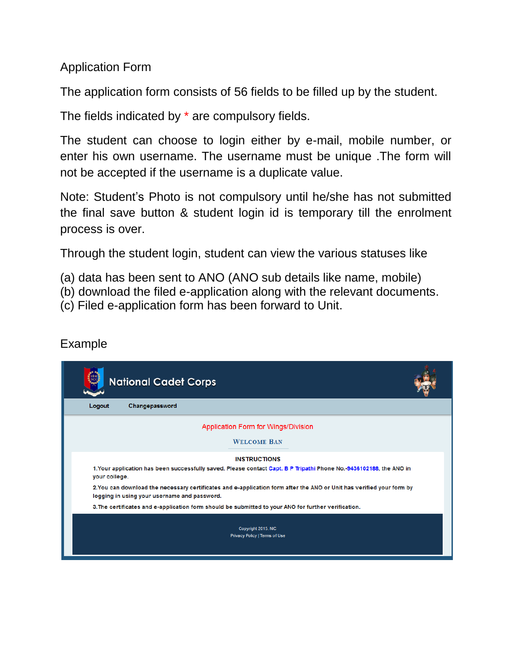Application Form

The application form consists of 56 fields to be filled up by the student.

The fields indicated by \* are compulsory fields.

The student can choose to login either by e-mail, mobile number, or enter his own username. The username must be unique .The form will not be accepted if the username is a duplicate value.

Note: Student's Photo is not compulsory until he/she has not submitted the final save button & student login id is temporary till the enrolment process is over.

Through the student login, student can view the various statuses like

- (a) data has been sent to ANO (ANO sub details like name, mobile)
- (b) download the filed e-application along with the relevant documents.
- (c) Filed e-application form has been forward to Unit.

### Example

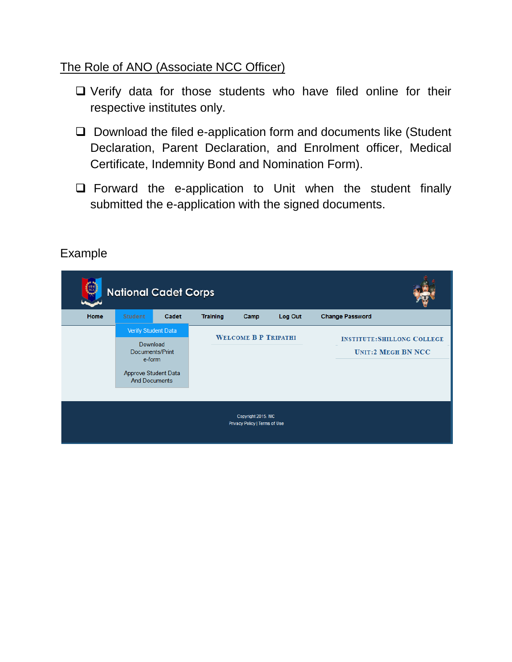#### The Role of ANO (Associate NCC Officer)

- $\Box$  Verify data for those students who have filed online for their respective institutes only.
- $\Box$  Download the filed e-application form and documents like (Student Declaration, Parent Declaration, and Enrolment officer, Medical Certificate, Indemnity Bond and Nomination Form).
- $\square$  Forward the e-application to Unit when the student finally submitted the e-application with the signed documents.

|                                                      | <b>National Cadet Corps</b>                                                                      |                 |                 |                             |         |                                                                |  |  |
|------------------------------------------------------|--------------------------------------------------------------------------------------------------|-----------------|-----------------|-----------------------------|---------|----------------------------------------------------------------|--|--|
| Home                                                 | <b>Student</b>                                                                                   | Cadet           | <b>Training</b> | Camp                        | Log Out | <b>Change Password</b>                                         |  |  |
|                                                      | Verify Student Data<br>Download<br>e-form<br><b>Approve Student Data</b><br><b>And Documents</b> | Documents/Print |                 | <b>WELCOME B P TRIPATHI</b> |         | <b>INSTITUTE:SHILLONG COLLEGE</b><br><b>UNIT:2 MEGH BN NCC</b> |  |  |
| Copyright 2015. NIC<br>Privacy Policy   Terms of Use |                                                                                                  |                 |                 |                             |         |                                                                |  |  |

#### Example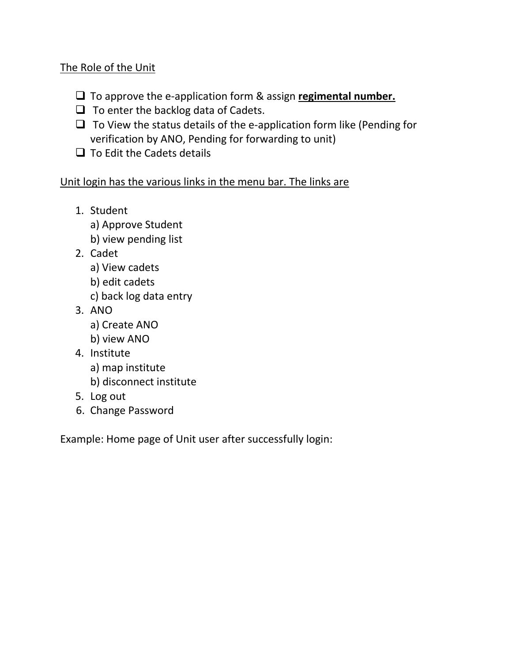#### The Role of the Unit

- To approve the e-application form & assign **regimental number.**
- $\Box$  To enter the backlog data of Cadets.
- $\Box$  To View the status details of the e-application form like (Pending for verification by ANO, Pending for forwarding to unit)
- $\Box$  To Edit the Cadets details

#### Unit login has the various links in the menu bar. The links are

- 1. Student
	- a) Approve Student
	- b) view pending list
- 2. Cadet
	- a) View cadets
	- b) edit cadets
	- c) back log data entry
- 3. ANO
	- a) Create ANO
	- b) view ANO
- 4. Institute
	- a) map institute
	- b) disconnect institute
- 5. Log out
- 6. Change Password

Example: Home page of Unit user after successfully login: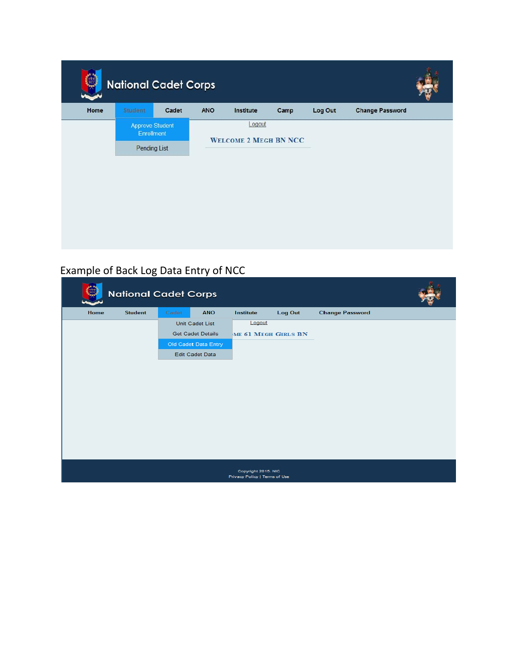|      | <b>National Cadet Corps</b>          |       |                              |           |      |         |                        |  |  |
|------|--------------------------------------|-------|------------------------------|-----------|------|---------|------------------------|--|--|
| Home | Student                              | Cadet | ANO                          | Institute | Camp | Log Out | <b>Change Password</b> |  |  |
|      | <b>Approve Student</b><br>Enrollment |       |                              | Logout    |      |         |                        |  |  |
|      | Pending List                         |       | <b>WELCOME 2 MEGH BN NCC</b> |           |      |         |                        |  |  |
|      |                                      |       |                              |           |      |         |                        |  |  |
|      |                                      |       |                              |           |      |         |                        |  |  |
|      |                                      |       |                              |           |      |         |                        |  |  |
|      |                                      |       |                              |           |      |         |                        |  |  |
|      |                                      |       |                              |           |      |         |                        |  |  |
|      |                                      |       |                              |           |      |         |                        |  |  |

## Example of Back Log Data Entry of NCC

| <b>National Cadet Corps</b>                          |                |       |                          |                     |         |                        |  |  |
|------------------------------------------------------|----------------|-------|--------------------------|---------------------|---------|------------------------|--|--|
| Home                                                 | <b>Student</b> | Cadet | <b>ANO</b>               | Institute           | Log Out | <b>Change Password</b> |  |  |
|                                                      |                |       | Unit Cadet List          | Logout              |         |                        |  |  |
|                                                      |                |       | <b>Get Cadet Details</b> | ME 61 MEGH GIRLS BN |         |                        |  |  |
|                                                      |                |       | Old Cadet Data Entry     |                     |         |                        |  |  |
|                                                      |                |       | <b>Edit Cadet Data</b>   |                     |         |                        |  |  |
|                                                      |                |       |                          |                     |         |                        |  |  |
|                                                      |                |       |                          |                     |         |                        |  |  |
|                                                      |                |       |                          |                     |         |                        |  |  |
|                                                      |                |       |                          |                     |         |                        |  |  |
|                                                      |                |       |                          |                     |         |                        |  |  |
|                                                      |                |       |                          |                     |         |                        |  |  |
|                                                      |                |       |                          |                     |         |                        |  |  |
|                                                      |                |       |                          |                     |         |                        |  |  |
|                                                      |                |       |                          |                     |         |                        |  |  |
| Copyright 2015. NIC<br>Privacy Policy   Terms of Use |                |       |                          |                     |         |                        |  |  |